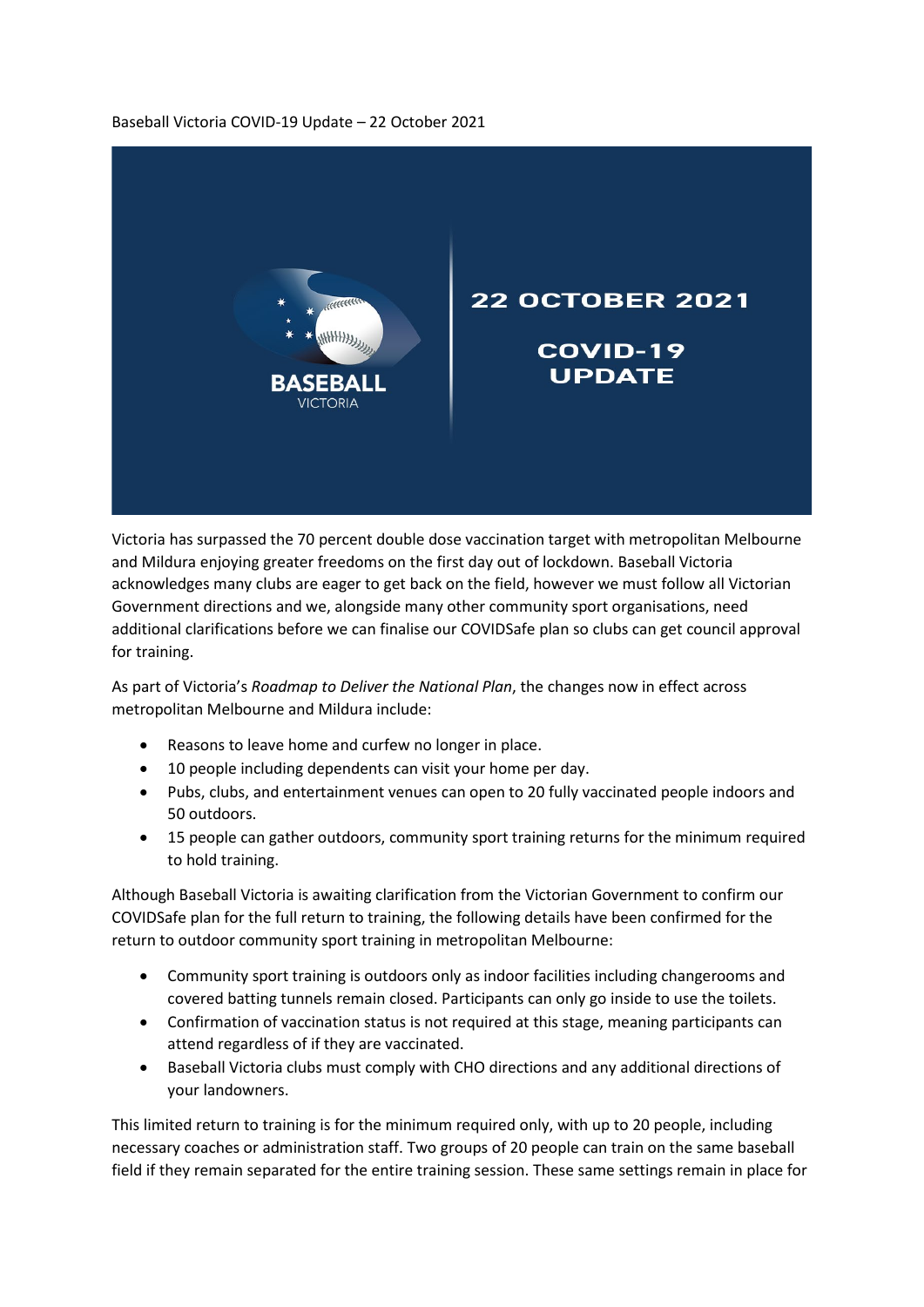## Baseball Victoria COVID-19 Update – 22 October 2021



Victoria has surpassed the 70 percent double dose vaccination target with metropolitan Melbourne and Mildura enjoying greater freedoms on the first day out of lockdown. Baseball Victoria acknowledges many clubs are eager to get back on the field, however we must follow all Victorian Government directions and we, alongside many other community sport organisations, need additional clarifications before we can finalise our COVIDSafe plan so clubs can get council approval for training.

As part of Victoria's *Roadmap to Deliver the National Plan*, the changes now in effect across metropolitan Melbourne and Mildura include:

- Reasons to leave home and curfew no longer in place.
- 10 people including dependents can visit your home per day.
- Pubs, clubs, and entertainment venues can open to 20 fully vaccinated people indoors and 50 outdoors.
- 15 people can gather outdoors, community sport training returns for the minimum required to hold training.

Although Baseball Victoria is awaiting clarification from the Victorian Government to confirm our COVIDSafe plan for the full return to training, the following details have been confirmed for the return to outdoor community sport training in metropolitan Melbourne:

- Community sport training is outdoors only as indoor facilities including changerooms and covered batting tunnels remain closed. Participants can only go inside to use the toilets.
- Confirmation of vaccination status is not required at this stage, meaning participants can attend regardless of if they are vaccinated.
- Baseball Victoria clubs must comply with CHO directions and any additional directions of your landowners.

This limited return to training is for the minimum required only, with up to 20 people, including necessary coaches or administration staff. Two groups of 20 people can train on the same baseball field if they remain separated for the entire training session. These same settings remain in place for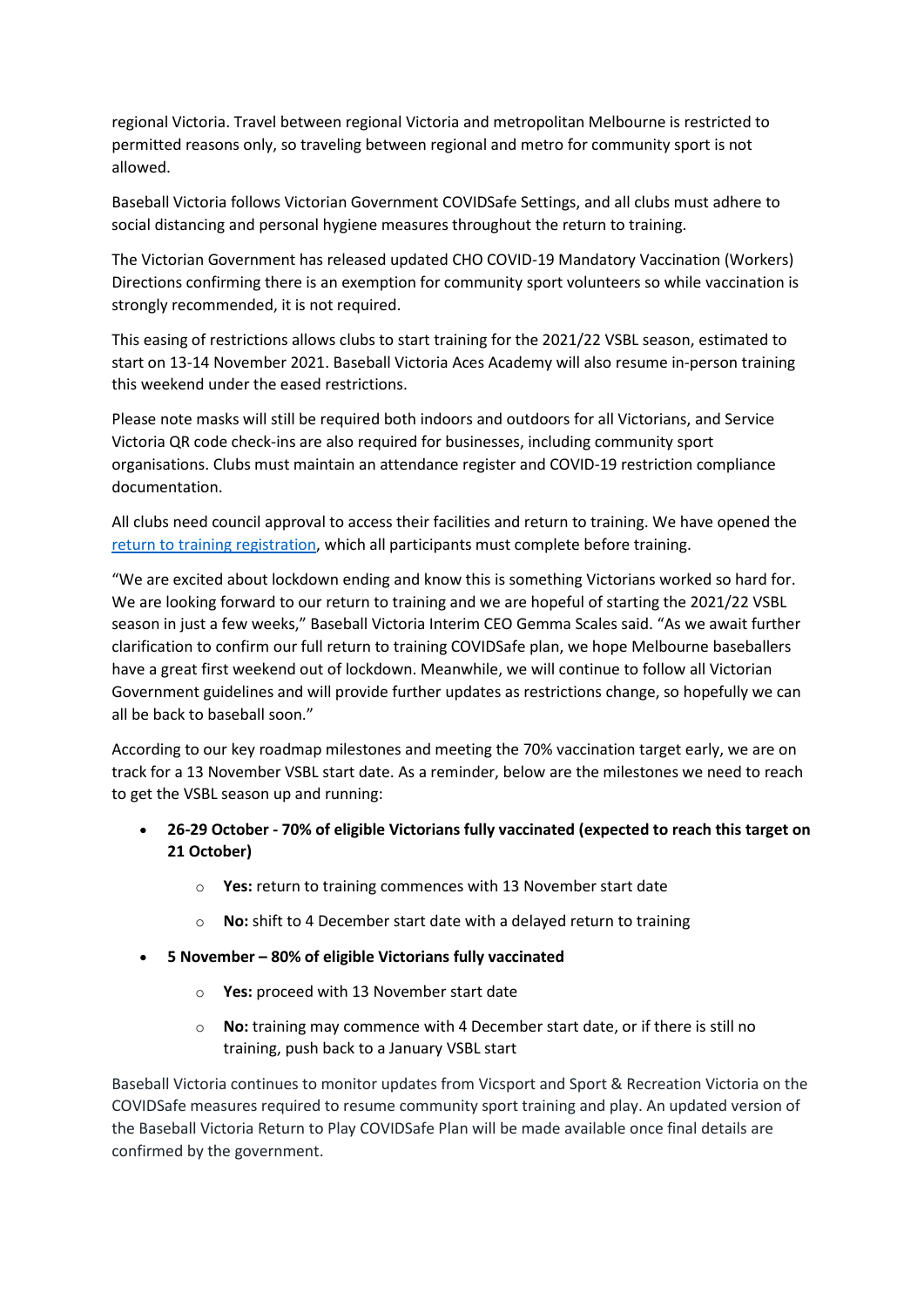regional Victoria. Travel between regional Victoria and metropolitan Melbourne is restricted to permitted reasons only, so traveling between regional and metro for community sport is not allowed.

Baseball Victoria follows Victorian Government COVIDSafe Settings, and all clubs must adhere to social distancing and personal hygiene measures throughout the return to training.

The Victorian Government has released updated CHO COVID-19 Mandatory Vaccination (Workers) Directions confirming there is an exemption for community sport volunteers so while vaccination is strongly recommended, it is not required.

This easing of restrictions allows clubs to start training for the 2021/22 VSBL season, estimated to start on 13-14 November 2021. Baseball Victoria Aces Academy will also resume in-person training this weekend under the eased restrictions.

Please note masks will still be required both indoors and outdoors for all Victorians, and Service Victoria QR code check-ins are also required for businesses, including community sport organisations. Clubs must maintain an attendance register and COVID-19 restriction compliance documentation.

All clubs need council approval to access their facilities and return to training. We have opened the [return to training registration,](https://baseballvictoria.com.au/vsbl-return-to-training/) which all participants must complete before training.

"We are excited about lockdown ending and know this is something Victorians worked so hard for. We are looking forward to our return to training and we are hopeful of starting the 2021/22 VSBL season in just a few weeks," Baseball Victoria Interim CEO Gemma Scales said. "As we await further clarification to confirm our full return to training COVIDSafe plan, we hope Melbourne baseballers have a great first weekend out of lockdown. Meanwhile, we will continue to follow all Victorian Government guidelines and will provide further updates as restrictions change, so hopefully we can all be back to baseball soon."

According to our key roadmap milestones and meeting the 70% vaccination target early, we are on track for a 13 November VSBL start date. As a reminder, below are the milestones we need to reach to get the VSBL season up and running:

- **26-29 October - 70% of eligible Victorians fully vaccinated (expected to reach this target on 21 October)**
	- o **Yes:** return to training commences with 13 November start date
	- o **No:** shift to 4 December start date with a delayed return to training
- **5 November – 80% of eligible Victorians fully vaccinated**
	- o **Yes:** proceed with 13 November start date
	- o **No:** training may commence with 4 December start date, or if there is still no training, push back to a January VSBL start

Baseball Victoria continues to monitor updates from Vicsport and Sport & Recreation Victoria on the COVIDSafe measures required to resume community sport training and play. An updated version of the Baseball Victoria Return to Play COVIDSafe Plan will be made available once final details are confirmed by the government.